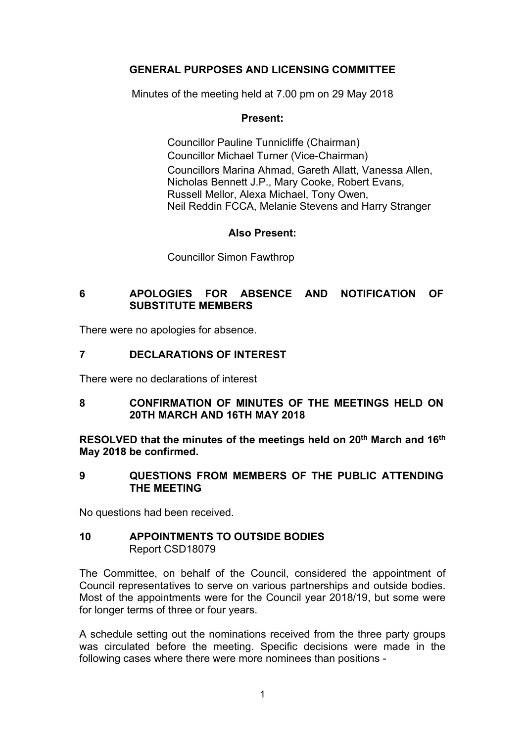# **GENERAL PURPOSES AND LICENSING COMMITTEE**

Minutes of the meeting held at 7.00 pm on 29 May 2018

# **Present:**

Councillor Pauline Tunnicliffe (Chairman) Councillor Michael Turner (Vice-Chairman) Councillors Marina Ahmad, Gareth Allatt, Vanessa Allen, Nicholas Bennett J.P., Mary Cooke, Robert Evans, Russell Mellor, Alexa Michael, Tony Owen, Neil Reddin FCCA, Melanie Stevens and Harry Stranger

## **Also Present:**

Councillor Simon Fawthrop

# **6 APOLOGIES FOR ABSENCE AND NOTIFICATION OF SUBSTITUTE MEMBERS**

There were no apologies for absence.

# **7 DECLARATIONS OF INTEREST**

There were no declarations of interest

## **8 CONFIRMATION OF MINUTES OF THE MEETINGS HELD ON 20TH MARCH AND 16TH MAY 2018**

**RESOLVED that the minutes of the meetings held on 20th March and 16th May 2018 be confirmed.**

#### **9 QUESTIONS FROM MEMBERS OF THE PUBLIC ATTENDING THE MEETING**

No questions had been received.

#### **10 APPOINTMENTS TO OUTSIDE BODIES** Report CSD18079

The Committee, on behalf of the Council, considered the appointment of Council representatives to serve on various partnerships and outside bodies. Most of the appointments were for the Council year 2018/19, but some were for longer terms of three or four years.

A schedule setting out the nominations received from the three party groups was circulated before the meeting. Specific decisions were made in the following cases where there were more nominees than positions -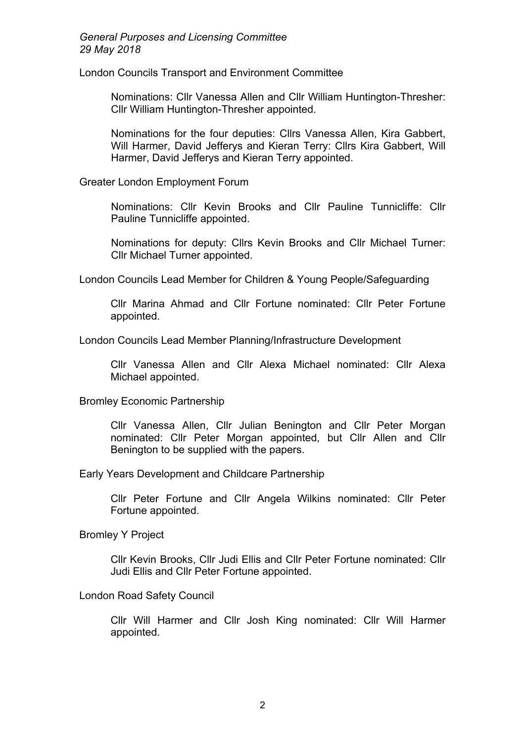London Councils Transport and Environment Committee

Nominations: Cllr Vanessa Allen and Cllr William Huntington-Thresher: Cllr William Huntington-Thresher appointed.

Nominations for the four deputies: Cllrs Vanessa Allen, Kira Gabbert, Will Harmer, David Jefferys and Kieran Terry: Cllrs Kira Gabbert, Will Harmer, David Jefferys and Kieran Terry appointed.

Greater London Employment Forum

Nominations: Cllr Kevin Brooks and Cllr Pauline Tunnicliffe: Cllr Pauline Tunnicliffe appointed.

Nominations for deputy: Cllrs Kevin Brooks and Cllr Michael Turner: Cllr Michael Turner appointed.

London Councils Lead Member for Children & Young People/Safeguarding

Cllr Marina Ahmad and Cllr Fortune nominated: Cllr Peter Fortune appointed.

London Councils Lead Member Planning/Infrastructure Development

Cllr Vanessa Allen and Cllr Alexa Michael nominated: Cllr Alexa Michael appointed.

Bromley Economic Partnership

Cllr Vanessa Allen, Cllr Julian Benington and Cllr Peter Morgan nominated: Cllr Peter Morgan appointed, but Cllr Allen and Cllr Benington to be supplied with the papers.

Early Years Development and Childcare Partnership

Cllr Peter Fortune and Cllr Angela Wilkins nominated: Cllr Peter Fortune appointed.

Bromley Y Project

Cllr Kevin Brooks, Cllr Judi Ellis and Cllr Peter Fortune nominated: Cllr Judi Ellis and Cllr Peter Fortune appointed.

#### London Road Safety Council

Cllr Will Harmer and Cllr Josh King nominated: Cllr Will Harmer appointed.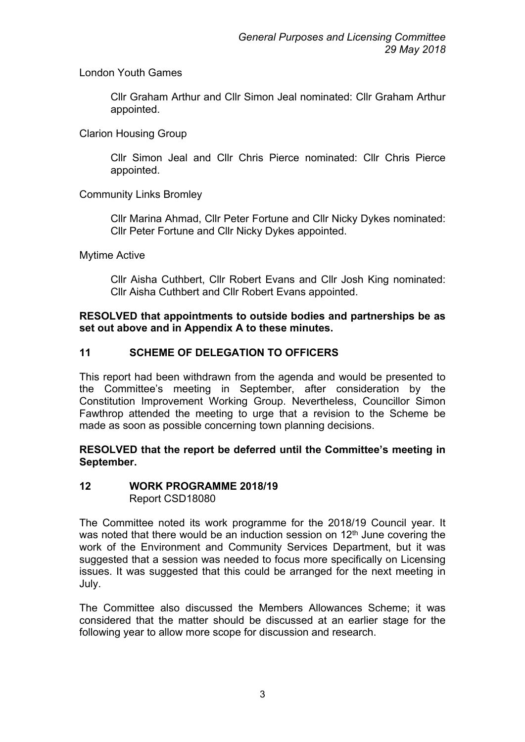# London Youth Games

Cllr Graham Arthur and Cllr Simon Jeal nominated: Cllr Graham Arthur appointed.

## Clarion Housing Group

Cllr Simon Jeal and Cllr Chris Pierce nominated: Cllr Chris Pierce appointed.

# Community Links Bromley

Cllr Marina Ahmad, Cllr Peter Fortune and Cllr Nicky Dykes nominated: Cllr Peter Fortune and Cllr Nicky Dykes appointed.

## Mytime Active

Cllr Aisha Cuthbert, Cllr Robert Evans and Cllr Josh King nominated: Cllr Aisha Cuthbert and Cllr Robert Evans appointed.

### **RESOLVED that appointments to outside bodies and partnerships be as set out above and in Appendix A to these minutes.**

# **11 SCHEME OF DELEGATION TO OFFICERS**

This report had been withdrawn from the agenda and would be presented to the Committee's meeting in September, after consideration by the Constitution Improvement Working Group. Nevertheless, Councillor Simon Fawthrop attended the meeting to urge that a revision to the Scheme be made as soon as possible concerning town planning decisions.

## **RESOLVED that the report be deferred until the Committee's meeting in September.**

## **12 WORK PROGRAMME 2018/19** Report CSD18080

The Committee noted its work programme for the 2018/19 Council year. It was noted that there would be an induction session on  $12<sup>th</sup>$  June covering the work of the Environment and Community Services Department, but it was suggested that a session was needed to focus more specifically on Licensing issues. It was suggested that this could be arranged for the next meeting in July.

The Committee also discussed the Members Allowances Scheme; it was considered that the matter should be discussed at an earlier stage for the following year to allow more scope for discussion and research.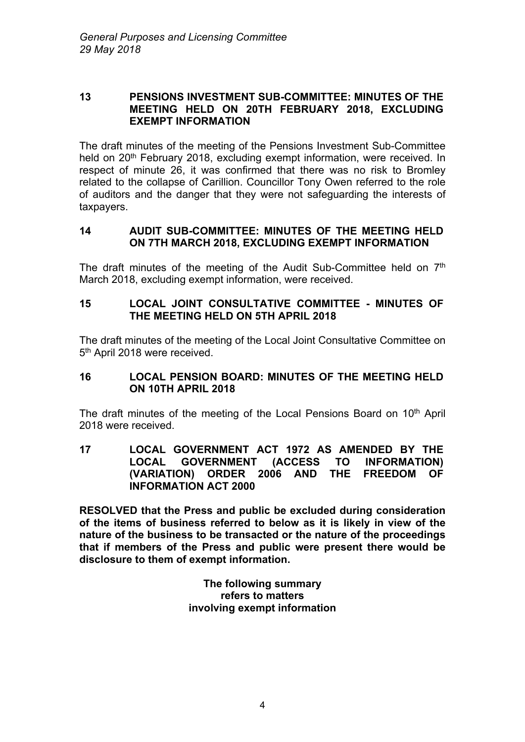#### **13 PENSIONS INVESTMENT SUB-COMMITTEE: MINUTES OF THE MEETING HELD ON 20TH FEBRUARY 2018, EXCLUDING EXEMPT INFORMATION**

The draft minutes of the meeting of the Pensions Investment Sub-Committee held on 20<sup>th</sup> February 2018, excluding exempt information, were received. In respect of minute 26, it was confirmed that there was no risk to Bromley related to the collapse of Carillion. Councillor Tony Owen referred to the role of auditors and the danger that they were not safeguarding the interests of taxpayers.

### **14 AUDIT SUB-COMMITTEE: MINUTES OF THE MEETING HELD ON 7TH MARCH 2018, EXCLUDING EXEMPT INFORMATION**

The draft minutes of the meeting of the Audit Sub-Committee held on  $7<sup>th</sup>$ March 2018, excluding exempt information, were received.

# **15 LOCAL JOINT CONSULTATIVE COMMITTEE - MINUTES OF THE MEETING HELD ON 5TH APRIL 2018**

The draft minutes of the meeting of the Local Joint Consultative Committee on 5<sup>th</sup> April 2018 were received.

## **16 LOCAL PENSION BOARD: MINUTES OF THE MEETING HELD ON 10TH APRIL 2018**

The draft minutes of the meeting of the Local Pensions Board on 10<sup>th</sup> April 2018 were received.

**17 LOCAL GOVERNMENT ACT 1972 AS AMENDED BY THE LOCAL GOVERNMENT (ACCESS TO INFORMATION) (VARIATION) ORDER 2006 AND THE FREEDOM OF INFORMATION ACT 2000**

**RESOLVED that the Press and public be excluded during consideration of the items of business referred to below as it is likely in view of the nature of the business to be transacted or the nature of the proceedings that if members of the Press and public were present there would be disclosure to them of exempt information.**

#### **The following summary refers to matters involving exempt information**